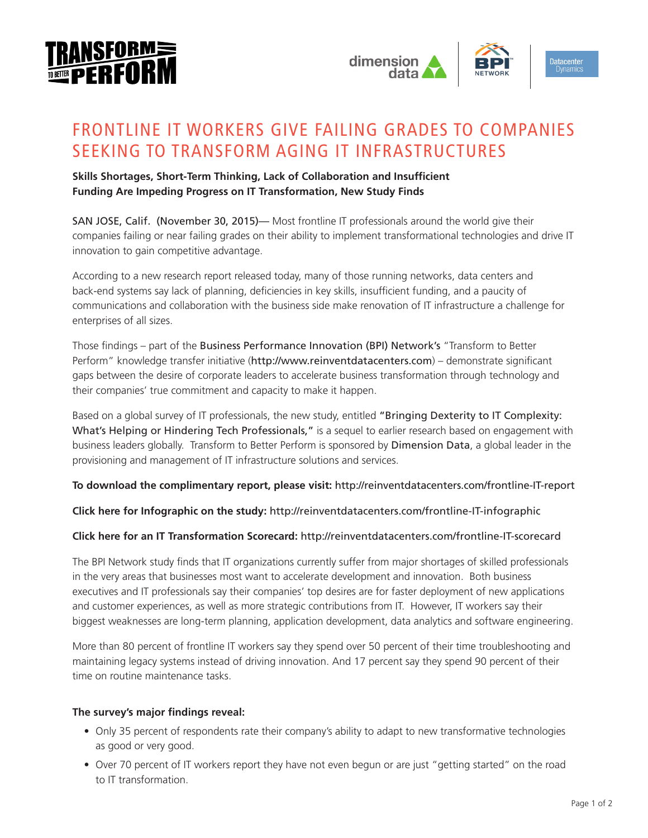



# FRONTLINE IT WORKERS GIVE FAILING GRADES TO COMPANIES SEEKING TO TRANSFORM AGING IT INFRASTRUCTURES

## **Skills Shortages, Short-Term Thinking, Lack of Collaboration and Insufficient Funding Are Impeding Progress on IT Transformation, New Study Finds**

SAN JOSE, Calif. (November 30, 2015)— Most frontline IT professionals around the world give their companies failing or near failing grades on their ability to implement transformational technologies and drive IT innovation to gain competitive advantage.

According to a new research report released today, many of those running networks, data centers and back-end systems say lack of planning, deficiencies in key skills, insufficient funding, and a paucity of communications and collaboration with the business side make renovation of IT infrastructure a challenge for enterprises of all sizes.

Those findings – part of the Business Performance Innovation (BPI) Network's "Transform to Better Perform" knowledge transfer initiative (http://www.reinventdatacenters.com) – demonstrate significant gaps between the desire of corporate leaders to accelerate business transformation through technology and their companies' true commitment and capacity to make it happen.

Based on a global survey of IT professionals, the new study, entitled "Bringing Dexterity to IT Complexity: What's Helping or Hindering Tech Professionals," is a sequel to earlier research based on engagement with business leaders globally. Transform to Better Perform is sponsored by Dimension Data, a global leader in the provisioning and management of IT infrastructure solutions and services.

**To download the complimentary report, please visit:** http://reinventdatacenters.com/frontline-IT-report

### **Click here for Infographic on the study:** http://reinventdatacenters.com/frontline-IT-infographic

## **Click here for an IT Transformation Scorecard:** http://reinventdatacenters.com/frontline-IT-scorecard

The BPI Network study finds that IT organizations currently suffer from major shortages of skilled professionals in the very areas that businesses most want to accelerate development and innovation. Both business executives and IT professionals say their companies' top desires are for faster deployment of new applications and customer experiences, as well as more strategic contributions from IT. However, IT workers say their biggest weaknesses are long-term planning, application development, data analytics and software engineering.

More than 80 percent of frontline IT workers say they spend over 50 percent of their time troubleshooting and maintaining legacy systems instead of driving innovation. And 17 percent say they spend 90 percent of their time on routine maintenance tasks.

### **The survey's major findings reveal:**

- Only 35 percent of respondents rate their company's ability to adapt to new transformative technologies as good or very good.
- Over 70 percent of IT workers report they have not even begun or are just "getting started" on the road to IT transformation.